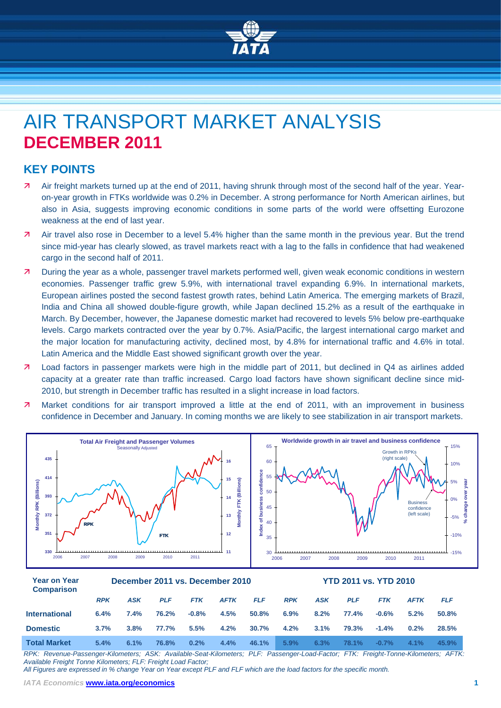

# AIR TRANSPORT MARKET ANALYSIS **DECEMBER 2011**

# **KEY POINTS**

- Air freight markets turned up at the end of 2011, having shrunk through most of the second half of the year. Yearon-year growth in FTKs worldwide was 0.2% in December. A strong performance for North American airlines, but also in Asia, suggests improving economic conditions in some parts of the world were offsetting Eurozone weakness at the end of last year.
- Air travel also rose in December to a level 5.4% higher than the same month in the previous year. But the trend since mid-year has clearly slowed, as travel markets react with a lag to the falls in confidence that had weakened cargo in the second half of 2011.
- During the year as a whole, passenger travel markets performed well, given weak economic conditions in western economies. Passenger traffic grew 5.9%, with international travel expanding 6.9%. In international markets, European airlines posted the second fastest growth rates, behind Latin America. The emerging markets of Brazil, India and China all showed double-figure growth, while Japan declined 15.2% as a result of the earthquake in March. By December, however, the Japanese domestic market had recovered to levels 5% below pre-earthquake levels. Cargo markets contracted over the year by 0.7%. Asia/Pacific, the largest international cargo market and the major location for manufacturing activity, declined most, by 4.8% for international traffic and 4.6% in total. Latin America and the Middle East showed significant growth over the year.
- Load factors in passenger markets were high in the middle part of 2011, but declined in Q4 as airlines added capacity at a greater rate than traffic increased. Cargo load factors have shown significant decline since mid-2010, but strength in December traffic has resulted in a slight increase in load factors.
- Market conditions for air transport improved a little at the end of 2011, with an improvement in business confidence in December and January. In coming months we are likely to see stabilization in air transport markets.



| <b>Year on Year</b><br><b>Comparison</b> |            | December 2011 vs. December 2010 |            |            |             |            |            | <b>YTD 2011 vs. YTD 2010</b> |            |         |             |            |
|------------------------------------------|------------|---------------------------------|------------|------------|-------------|------------|------------|------------------------------|------------|---------|-------------|------------|
|                                          | <b>RPK</b> | <b>ASK</b>                      | <b>PLF</b> | <b>FTK</b> | <b>AFTK</b> | <b>FLF</b> | <b>RPK</b> | <b>ASK</b>                   | <b>PLF</b> | FTK     | <b>AFTK</b> | <b>FLF</b> |
| <b>International</b>                     | 6.4%       | 7.4%                            | 76.2%      | $-0.8%$    | 4.5%        | 50.8%      | 6.9%       | 8.2%                         | 77.4%      | $-0.6%$ | 5.2%        | 50.8%      |
| <b>Domestic</b>                          | 3.7%       | 3.8%                            | 77.7%      | 5.5%       | 4.2%        | 30.7%      | 4.2%       | 3.1%                         | 79.3%      | $-1.4%$ | 0.2%        | 28.5%      |
| <b>Total Market</b>                      | 5.4%       | 6.1%                            | 76.8%      | 0.2%       | 4.4%        | 46.1%      | 5.9%       | 6.3%                         | 78.1%      | $-0.7%$ | 4.1%        | 45.9%      |

*RPK: Revenue-Passenger-Kilometers; ASK: Available-Seat-Kilometers; PLF: Passenger-Load-Factor; FTK: Freight-Tonne-Kilometers; AFTK: Available Freight Tonne Kilometers; FLF: Freight Load Factor;* 

*All Figures are expressed in % change Year on Year except PLF and FLF which are the load factors for the specific month.*

*IATA Economics* **[www.iata.org/economics](http://www.iata.org/economics) 1**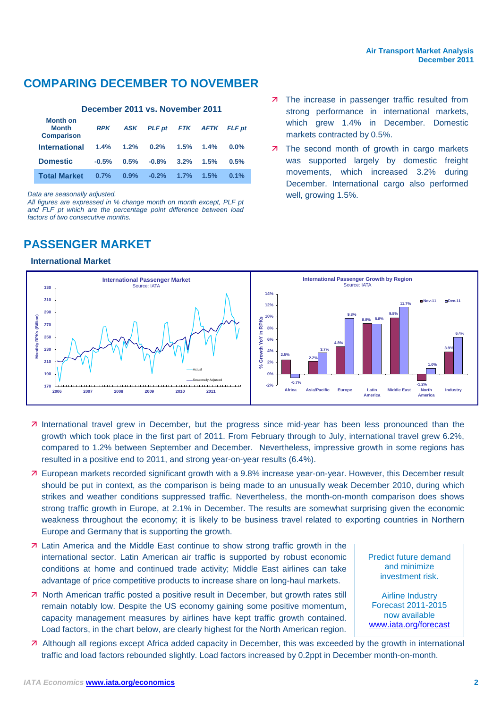# **COMPARING DECEMBER TO NOVEMBER**

## **December 2011 vs. November 2011**

| <b>Month on</b><br><b>Month</b><br><b>Comparison</b> | <b>RPK</b> | ASK     |         |         | PLF pt FTK AFTK FLF pt |         |
|------------------------------------------------------|------------|---------|---------|---------|------------------------|---------|
| <b>International</b>                                 | 1.4%       | $1.2\%$ | $0.2\%$ | 1.5%    | 1.4%                   | $0.0\%$ |
| <b>Domestic</b>                                      | $-0.5%$    | 0.5%    | $-0.8%$ | 3.2%    | 1.5%                   | 0.5%    |
| <b>Total Market</b>                                  | 0.7%       | 0.9%    | $-0.2%$ | $1.7\%$ | 1.5%                   | 0.1%    |

*Data are seasonally adjusted.*

*All figures are expressed in % change month on month except, PLF pt and FLF pt which are the percentage point difference between load factors of two consecutive months.*

# **PASSENGER MARKET**

## **International Market**

- **7** The increase in passenger traffic resulted from strong performance in international markets, which grew 1.4% in December. Domestic markets contracted by 0.5%.
- 7 The second month of growth in cargo markets was supported largely by domestic freight movements, which increased 3.2% during December. International cargo also performed well, growing 1.5%.



- International travel grew in December, but the progress since mid-year has been less pronounced than the growth which took place in the first part of 2011. From February through to July, international travel grew 6.2%, compared to 1.2% between September and December. Nevertheless, impressive growth in some regions has resulted in a positive end to 2011, and strong year-on-year results (6.4%).
- European markets recorded significant growth with a 9.8% increase year-on-year. However, this December result should be put in context, as the comparison is being made to an unusually weak December 2010, during which strikes and weather conditions suppressed traffic. Nevertheless, the month-on-month comparison does shows strong traffic growth in Europe, at 2.1% in December. The results are somewhat surprising given the economic weakness throughout the economy; it is likely to be business travel related to exporting countries in Northern Europe and Germany that is supporting the growth.
- **7** Latin America and the Middle East continue to show strong traffic growth in the international sector. Latin American air traffic is supported by robust economic conditions at home and continued trade activity; Middle East airlines can take advantage of price competitive products to increase share on long-haul markets.
- North American traffic posted a positive result in December, but growth rates still remain notably low. Despite the US economy gaining some positive momentum, capacity management measures by airlines have kept traffic growth contained. Load factors, in the chart below, are clearly highest for the North American region.

Predict future demand and minimize investment risk.

Airline Industry Forecast 2011-2015 now available [www.iata.org/forecast](http://www.iata.org/forecast)

 Although all regions except Africa added capacity in December, this was exceeded by the growth in international traffic and load factors rebounded slightly. Load factors increased by 0.2ppt in December month-on-month.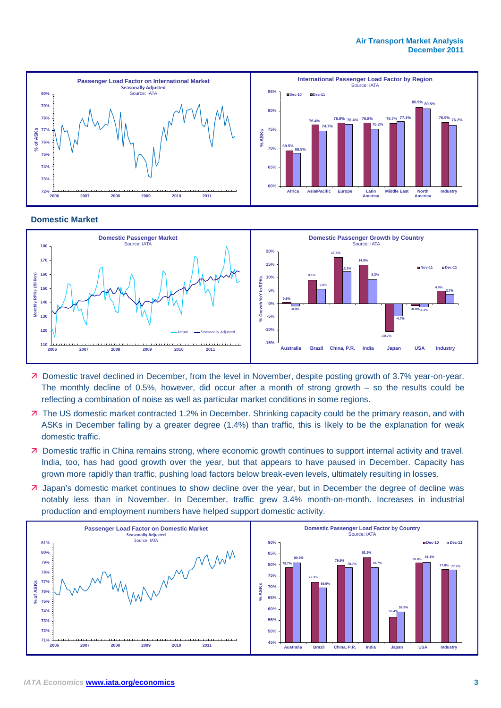#### **Air Transport Market Analysis December 2011**



#### **Domestic Market**



- Domestic travel declined in December, from the level in November, despite posting growth of 3.7% year-on-year. The monthly decline of 0.5%, however, did occur after a month of strong growth – so the results could be reflecting a combination of noise as well as particular market conditions in some regions.
- The US domestic market contracted 1.2% in December. Shrinking capacity could be the primary reason, and with ASKs in December falling by a greater degree (1.4%) than traffic, this is likely to be the explanation for weak domestic traffic.
- 7 Domestic traffic in China remains strong, where economic growth continues to support internal activity and travel. India, too, has had good growth over the year, but that appears to have paused in December. Capacity has grown more rapidly than traffic, pushing load factors below break-even levels, ultimately resulting in losses.
- **7** Japan's domestic market continues to show decline over the year, but in December the degree of decline was notably less than in November. In December, traffic grew 3.4% month-on-month. Increases in industrial production and employment numbers have helped support domestic activity.

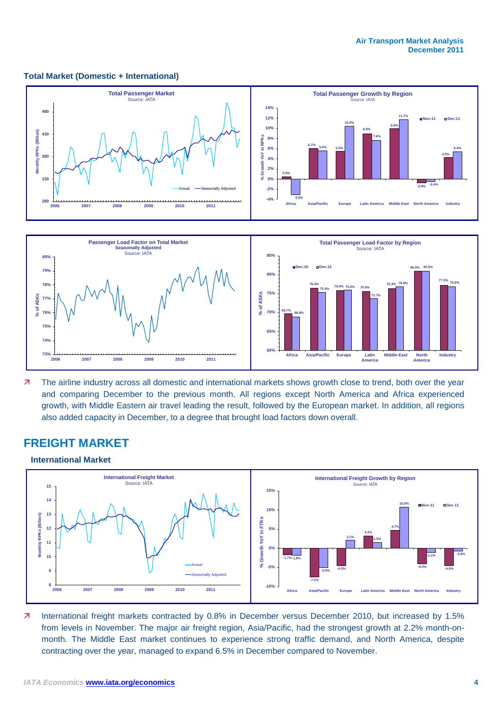#### **Total Market (Domestic + International)**



7 The airline industry across all domestic and international markets shows growth close to trend, both over the year and comparing December to the previous month. All regions except North America and Africa experienced growth, with Middle Eastern air travel leading the result, followed by the European market. In addition, all regions also added capacity in December, to a degree that brought load factors down overall.

**Africa Asia/Pacific Europe Latin**

**America**

**Middle East North America** **Industry**

# **FREIGHT MARKET**

**2006 2007 2008 2009 2010 2011**

#### **International Market**

**73%**



71 International freight markets contracted by 0.8% in December versus December 2010, but increased by 1.5% from levels in November. The major air freight region, Asia/Pacific, had the strongest growth at 2.2% month-onmonth. The Middle East market continues to experience strong traffic demand, and North America, despite contracting over the year, managed to expand 6.5% in December compared to November.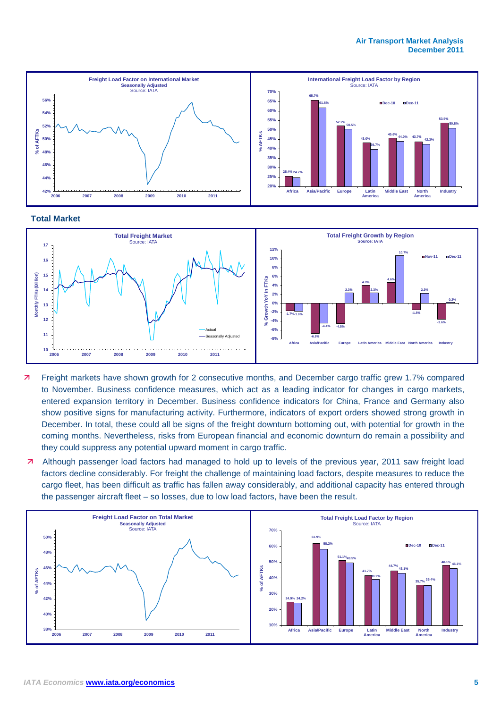#### **Air Transport Market Analysis December 2011**



#### **Total Market**



- Freight markets have shown growth for 2 consecutive months, and December cargo traffic grew 1.7% compared to November. Business confidence measures, which act as a leading indicator for changes in cargo markets, entered expansion territory in December. Business confidence indicators for China, France and Germany also show positive signs for manufacturing activity. Furthermore, indicators of export orders showed strong growth in December. In total, these could all be signs of the freight downturn bottoming out, with potential for growth in the coming months. Nevertheless, risks from European financial and economic downturn do remain a possibility and they could suppress any potential upward moment in cargo traffic.
- Although passenger load factors had managed to hold up to levels of the previous year, 2011 saw freight load factors decline considerably. For freight the challenge of maintaining load factors, despite measures to reduce the cargo fleet, has been difficult as traffic has fallen away considerably, and additional capacity has entered through the passenger aircraft fleet – so losses, due to low load factors, have been the result.

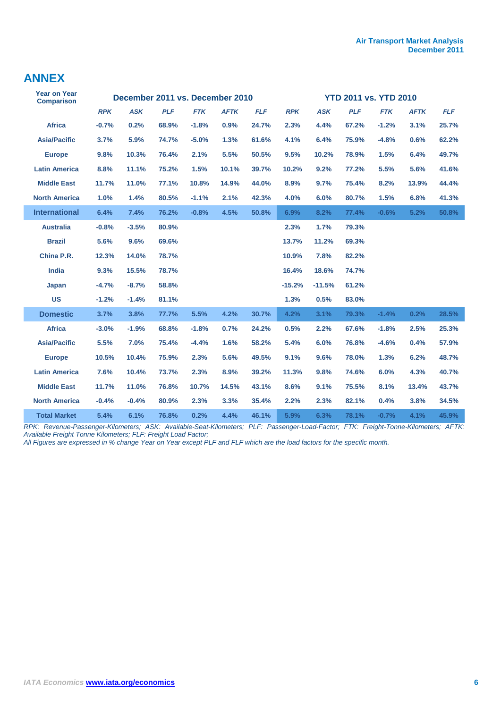#### **ANNEX** ш.

n Li

| Year on Year<br><b>Comparison</b> |            |            | December 2011 vs. December 2010 |            |             |            |            |            | <b>YTD 2011 vs. YTD 2010</b> |            |             |            |  |
|-----------------------------------|------------|------------|---------------------------------|------------|-------------|------------|------------|------------|------------------------------|------------|-------------|------------|--|
|                                   | <b>RPK</b> | <b>ASK</b> | <b>PLF</b>                      | <b>FTK</b> | <b>AFTK</b> | <b>FLF</b> | <b>RPK</b> | <b>ASK</b> | <b>PLF</b>                   | <b>FTK</b> | <b>AFTK</b> | <b>FLF</b> |  |
| <b>Africa</b>                     | $-0.7%$    | 0.2%       | 68.9%                           | $-1.8%$    | 0.9%        | 24.7%      | 2.3%       | 4.4%       | 67.2%                        | $-1.2%$    | 3.1%        | 25.7%      |  |
| <b>Asia/Pacific</b>               | 3.7%       | 5.9%       | 74.7%                           | $-5.0%$    | 1.3%        | 61.6%      | 4.1%       | 6.4%       | 75.9%                        | $-4.8%$    | 0.6%        | 62.2%      |  |
| <b>Europe</b>                     | 9.8%       | 10.3%      | 76.4%                           | 2.1%       | 5.5%        | 50.5%      | 9.5%       | 10.2%      | 78.9%                        | 1.5%       | 6.4%        | 49.7%      |  |
| <b>Latin America</b>              | 8.8%       | 11.1%      | 75.2%                           | 1.5%       | 10.1%       | 39.7%      | 10.2%      | 9.2%       | 77.2%                        | 5.5%       | 5.6%        | 41.6%      |  |
| <b>Middle East</b>                | 11.7%      | 11.0%      | 77.1%                           | 10.8%      | 14.9%       | 44.0%      | 8.9%       | 9.7%       | 75.4%                        | 8.2%       | 13.9%       | 44.4%      |  |
| <b>North America</b>              | 1.0%       | 1.4%       | 80.5%                           | $-1.1%$    | 2.1%        | 42.3%      | 4.0%       | 6.0%       | 80.7%                        | 1.5%       | 6.8%        | 41.3%      |  |
| <b>International</b>              | 6.4%       | 7.4%       | 76.2%                           | $-0.8%$    | 4.5%        | 50.8%      | 6.9%       | 8.2%       | 77.4%                        | $-0.6%$    | 5.2%        | 50.8%      |  |
| <b>Australia</b>                  | $-0.8%$    | $-3.5%$    | 80.9%                           |            |             |            | 2.3%       | 1.7%       | 79.3%                        |            |             |            |  |
| <b>Brazil</b>                     | 5.6%       | 9.6%       | 69.6%                           |            |             |            | 13.7%      | 11.2%      | 69.3%                        |            |             |            |  |
| China P.R.                        | 12.3%      | 14.0%      | 78.7%                           |            |             |            | 10.9%      | 7.8%       | 82.2%                        |            |             |            |  |
| <b>India</b>                      | 9.3%       | 15.5%      | 78.7%                           |            |             |            | 16.4%      | 18.6%      | 74.7%                        |            |             |            |  |
| Japan                             | $-4.7%$    | $-8.7%$    | 58.8%                           |            |             |            | $-15.2%$   | $-11.5%$   | 61.2%                        |            |             |            |  |
| <b>US</b>                         | $-1.2%$    | $-1.4%$    | 81.1%                           |            |             |            | 1.3%       | 0.5%       | 83.0%                        |            |             |            |  |
| <b>Domestic</b>                   | 3.7%       | 3.8%       | 77.7%                           | 5.5%       | 4.2%        | 30.7%      | 4.2%       | 3.1%       | 79.3%                        | $-1.4%$    | 0.2%        | 28.5%      |  |
| <b>Africa</b>                     | $-3.0%$    | $-1.9%$    | 68.8%                           | $-1.8%$    | 0.7%        | 24.2%      | 0.5%       | 2.2%       | 67.6%                        | $-1.8%$    | 2.5%        | 25.3%      |  |
| <b>Asia/Pacific</b>               | 5.5%       | 7.0%       | 75.4%                           | $-4.4%$    | 1.6%        | 58.2%      | 5.4%       | 6.0%       | 76.8%                        | $-4.6%$    | 0.4%        | 57.9%      |  |
| <b>Europe</b>                     | 10.5%      | 10.4%      | 75.9%                           | 2.3%       | 5.6%        | 49.5%      | 9.1%       | 9.6%       | 78.0%                        | 1.3%       | 6.2%        | 48.7%      |  |
| <b>Latin America</b>              | 7.6%       | 10.4%      | 73.7%                           | 2.3%       | 8.9%        | 39.2%      | 11.3%      | 9.8%       | 74.6%                        | 6.0%       | 4.3%        | 40.7%      |  |
| <b>Middle East</b>                | 11.7%      | 11.0%      | 76.8%                           | 10.7%      | 14.5%       | 43.1%      | 8.6%       | 9.1%       | 75.5%                        | 8.1%       | 13.4%       | 43.7%      |  |
| <b>North America</b>              | $-0.4%$    | $-0.4%$    | 80.9%                           | 2.3%       | 3.3%        | 35.4%      | 2.2%       | 2.3%       | 82.1%                        | 0.4%       | 3.8%        | 34.5%      |  |
| <b>Total Market</b>               | 5.4%       | 6.1%       | 76.8%                           | 0.2%       | 4.4%        | 46.1%      | 5.9%       | 6.3%       | 78.1%                        | $-0.7%$    | 4.1%        | 45.9%      |  |

*RPK: Revenue-Passenger-Kilometers; ASK: Available-Seat-Kilometers; PLF: Passenger-Load-Factor; FTK: Freight-Tonne-Kilometers; AFTK: Available Freight Tonne Kilometers; FLF: Freight Load Factor;* 

*All Figures are expressed in % change Year on Year except PLF and FLF which are the load factors for the specific month.*